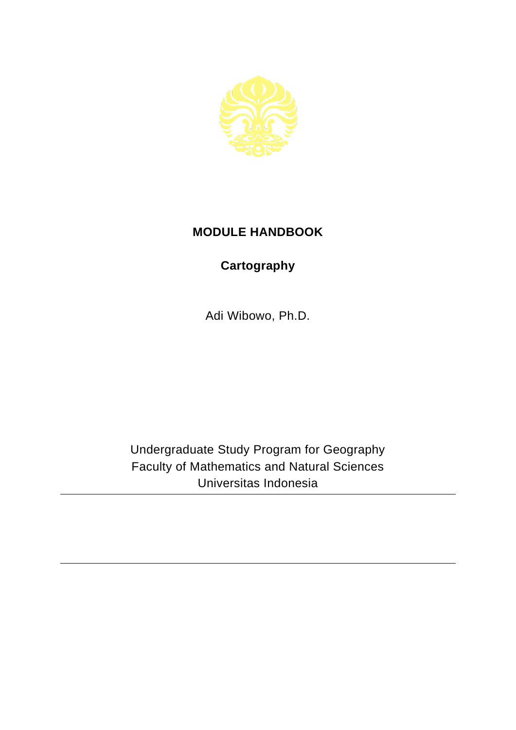

## **MODULE HANDBOOK**

## **Cartography**

Adi Wibowo, Ph.D.

Undergraduate Study Program for Geography Faculty of Mathematics and Natural Sciences Universitas Indonesia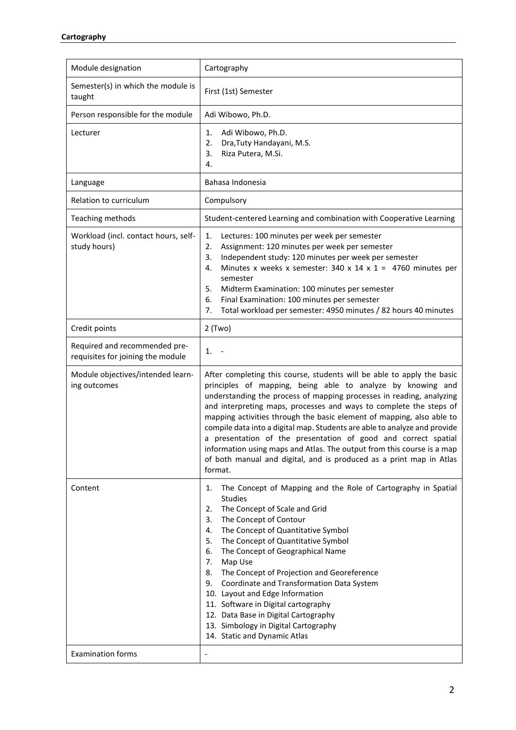| Module designation                                                 | Cartography                                                                                                                                                                                                                                                                                                                                                                                                                                                                                                                                                                                                                                                             |
|--------------------------------------------------------------------|-------------------------------------------------------------------------------------------------------------------------------------------------------------------------------------------------------------------------------------------------------------------------------------------------------------------------------------------------------------------------------------------------------------------------------------------------------------------------------------------------------------------------------------------------------------------------------------------------------------------------------------------------------------------------|
| Semester(s) in which the module is<br>taught                       | First (1st) Semester                                                                                                                                                                                                                                                                                                                                                                                                                                                                                                                                                                                                                                                    |
| Person responsible for the module                                  | Adi Wibowo, Ph.D.                                                                                                                                                                                                                                                                                                                                                                                                                                                                                                                                                                                                                                                       |
| Lecturer                                                           | Adi Wibowo, Ph.D.<br>1.<br>Dra, Tuty Handayani, M.S.<br>2.<br>Riza Putera, M.Si.<br>3.<br>4.                                                                                                                                                                                                                                                                                                                                                                                                                                                                                                                                                                            |
| Language                                                           | Bahasa Indonesia                                                                                                                                                                                                                                                                                                                                                                                                                                                                                                                                                                                                                                                        |
| Relation to curriculum                                             | Compulsory                                                                                                                                                                                                                                                                                                                                                                                                                                                                                                                                                                                                                                                              |
| Teaching methods                                                   | Student-centered Learning and combination with Cooperative Learning                                                                                                                                                                                                                                                                                                                                                                                                                                                                                                                                                                                                     |
| Workload (incl. contact hours, self-<br>study hours)               | 1.<br>Lectures: 100 minutes per week per semester<br>Assignment: 120 minutes per week per semester<br>2.<br>Independent study: 120 minutes per week per semester<br>3.<br>Minutes x weeks x semester: 340 x 14 x 1 = 4760 minutes per<br>4.<br>semester<br>5.<br>Midterm Examination: 100 minutes per semester<br>Final Examination: 100 minutes per semester<br>6.<br>Total workload per semester: 4950 minutes / 82 hours 40 minutes<br>7.                                                                                                                                                                                                                            |
| Credit points                                                      | $2$ (Two)                                                                                                                                                                                                                                                                                                                                                                                                                                                                                                                                                                                                                                                               |
| Required and recommended pre-<br>requisites for joining the module | 1.                                                                                                                                                                                                                                                                                                                                                                                                                                                                                                                                                                                                                                                                      |
| Module objectives/intended learn-<br>ing outcomes                  | After completing this course, students will be able to apply the basic<br>principles of mapping, being able to analyze by knowing and<br>understanding the process of mapping processes in reading, analyzing<br>and interpreting maps, processes and ways to complete the steps of<br>mapping activities through the basic element of mapping, also able to<br>compile data into a digital map. Students are able to analyze and provide<br>a presentation of the presentation of good and correct spatial<br>information using maps and Atlas. The output from this course is a map<br>of both manual and digital, and is produced as a print map in Atlas<br>format. |
| Content                                                            | The Concept of Mapping and the Role of Cartography in Spatial<br>1.<br><b>Studies</b><br>The Concept of Scale and Grid<br>2.<br>The Concept of Contour<br>3.<br>The Concept of Quantitative Symbol<br>4.<br>The Concept of Quantitative Symbol<br>5.<br>The Concept of Geographical Name<br>6.<br>Map Use<br>7.<br>The Concept of Projection and Georeference<br>8.<br>Coordinate and Transformation Data System<br>9.<br>10. Layout and Edge Information<br>11. Software in Digital cartography<br>12. Data Base in Digital Cartography<br>13. Simbology in Digital Cartography<br>14. Static and Dynamic Atlas                                                        |
| <b>Examination forms</b>                                           | $\overline{\phantom{a}}$                                                                                                                                                                                                                                                                                                                                                                                                                                                                                                                                                                                                                                                |